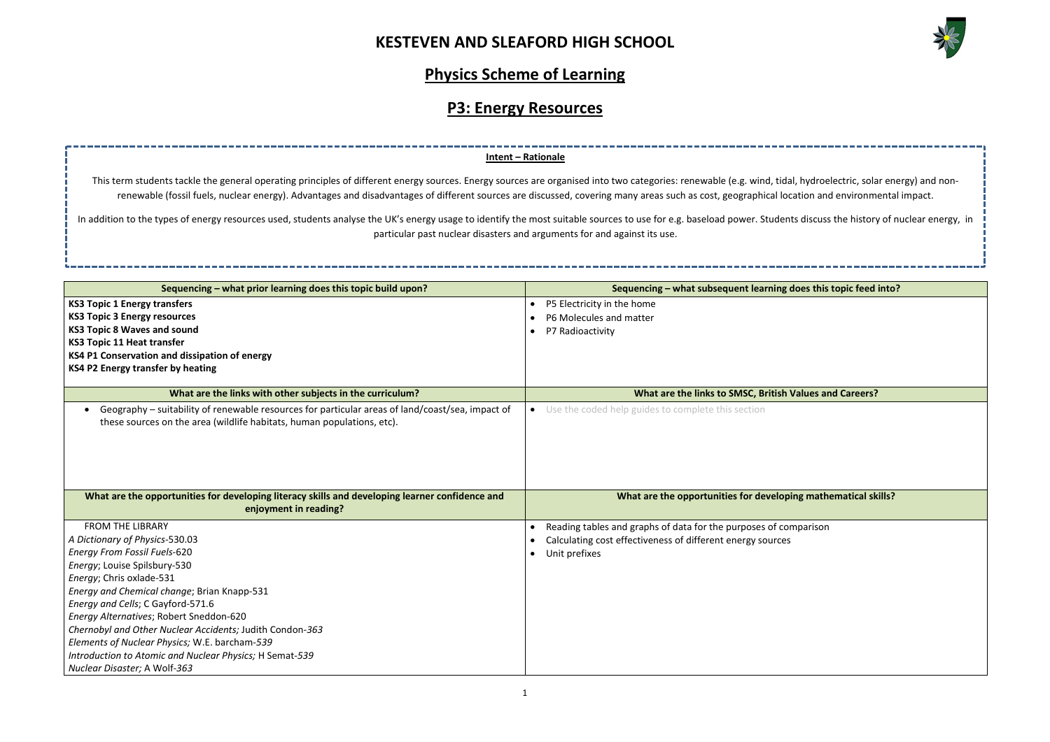

| , hydroelectric, solar energy) and non-     |
|---------------------------------------------|
| ation and environmental impact.             |
| s discuss the history of nuclear energy, in |
|                                             |
|                                             |
|                                             |
| oes this topic feed into?                   |
|                                             |
|                                             |
|                                             |
|                                             |
|                                             |
|                                             |
| 'alues and Careers?                         |
|                                             |
|                                             |
|                                             |
|                                             |
|                                             |
| ng mathematical skills?                     |
|                                             |
| <i>nparison</i>                             |
|                                             |
|                                             |
|                                             |
|                                             |
|                                             |
|                                             |
|                                             |
|                                             |
|                                             |
|                                             |

# **Physics Scheme of Learning**

# **P3: Energy Resources**

| Sequencing – what prior learning does this topic build upon?                                                                                                               | Sequencing – what subsequent learning does this topic feed into? |  |
|----------------------------------------------------------------------------------------------------------------------------------------------------------------------------|------------------------------------------------------------------|--|
| <b>KS3 Topic 1 Energy transfers</b>                                                                                                                                        | P5 Electricity in the home                                       |  |
| <b>KS3 Topic 3 Energy resources</b>                                                                                                                                        | P6 Molecules and matter                                          |  |
| <b>KS3 Topic 8 Waves and sound</b>                                                                                                                                         | P7 Radioactivity                                                 |  |
| <b>KS3 Topic 11 Heat transfer</b>                                                                                                                                          |                                                                  |  |
| KS4 P1 Conservation and dissipation of energy                                                                                                                              |                                                                  |  |
| KS4 P2 Energy transfer by heating                                                                                                                                          |                                                                  |  |
|                                                                                                                                                                            |                                                                  |  |
| What are the links with other subjects in the curriculum?                                                                                                                  | What are the links to SMSC, British Values and Careers?          |  |
| Geography - suitability of renewable resources for particular areas of land/coast/sea, impact of<br>these sources on the area (wildlife habitats, human populations, etc). | Use the coded help guides to complete this section<br>$\bullet$  |  |
|                                                                                                                                                                            |                                                                  |  |
|                                                                                                                                                                            |                                                                  |  |
| What are the opportunities for developing literacy skills and developing learner confidence and<br>enjoyment in reading?                                                   | What are the opportunities for developing mathematical skills?   |  |
| <b>FROM THE LIBRARY</b>                                                                                                                                                    | Reading tables and graphs of data for the purposes of comparison |  |
| A Dictionary of Physics-530.03                                                                                                                                             | Calculating cost effectiveness of different energy sources       |  |
| <b>Energy From Fossil Fuels-620</b>                                                                                                                                        | Unit prefixes                                                    |  |
| Energy; Louise Spilsbury-530                                                                                                                                               |                                                                  |  |
| Energy; Chris oxlade-531                                                                                                                                                   |                                                                  |  |
| Energy and Chemical change; Brian Knapp-531                                                                                                                                |                                                                  |  |
| Energy and Cells; C Gayford-571.6                                                                                                                                          |                                                                  |  |
| Energy Alternatives; Robert Sneddon-620                                                                                                                                    |                                                                  |  |
| Chernobyl and Other Nuclear Accidents; Judith Condon-363                                                                                                                   |                                                                  |  |
| Elements of Nuclear Physics; W.E. barcham-539                                                                                                                              |                                                                  |  |
| Introduction to Atomic and Nuclear Physics; H Semat-539                                                                                                                    |                                                                  |  |
| Nuclear Disaster; A Wolf-363                                                                                                                                               |                                                                  |  |

In addition to the types of energy resources used, students analyse the UK's energy usage to identify the most suitable sources to use for e.g. baseload power. Students particular past nuclear disasters and arguments for and against its use.

### **Intent – Rationale**

This term students tackle the general operating principles of different energy sources. Energy sources are organised into two categories: renewable (e.g. wind, tidal, renewable (fossil fuels, nuclear energy). Advantages and disadvantages of different sources are discussed, covering many areas such as cost, geographical loca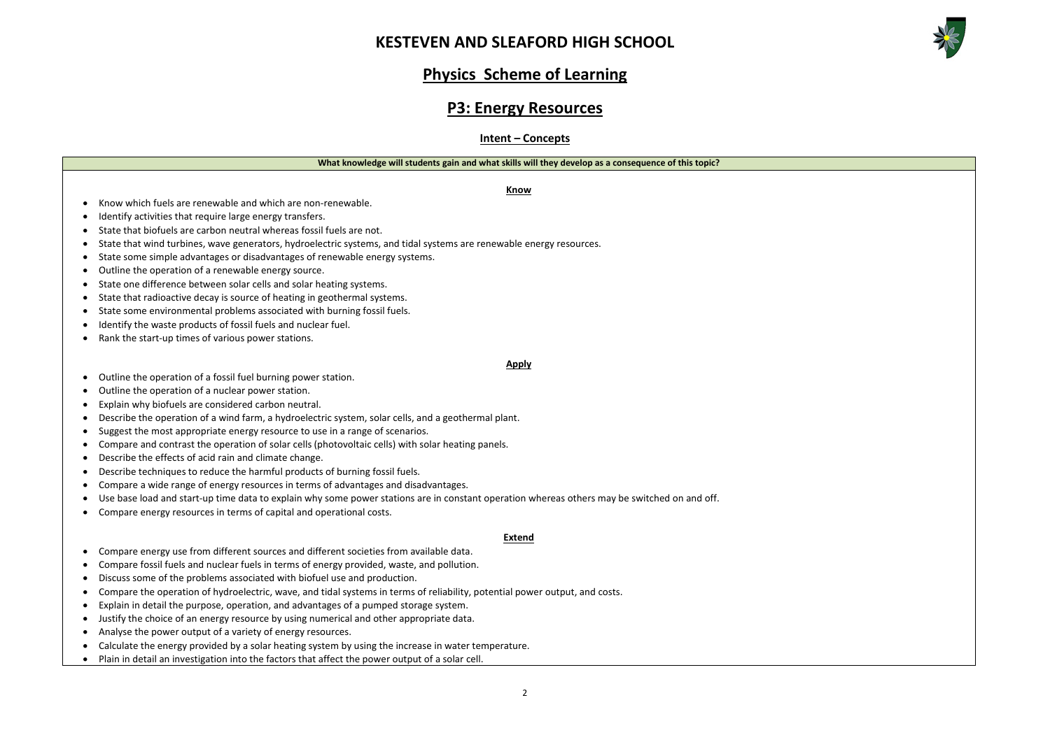



## **Physics Scheme of Learning**

## **P3: Energy Resources**

### **Intent – Concepts**

#### **What knowledge will students gain and what skills will they develop as a consequence of this topic?**

**Know**

#### • Know which fuels are renewable and which are non-renewable.

- Identify activities that require large energy transfers.
- State that biofuels are carbon neutral whereas fossil fuels are not.
- State that wind turbines, wave generators, hydroelectric systems, and tidal systems are renewable energy resources.
- State some simple advantages or disadvantages of renewable energy systems.
- Outline the operation of a renewable energy source.
- State one difference between solar cells and solar heating systems.
- State that radioactive decay is source of heating in geothermal systems.
- State some environmental problems associated with burning fossil fuels.
- Identify the waste products of fossil fuels and nuclear fuel.
- Rank the start-up times of various power stations.

#### **Apply**

- Outline the operation of a fossil fuel burning power station.
- Outline the operation of a nuclear power station.
- Explain why biofuels are considered carbon neutral.
- Describe the operation of a wind farm, a hydroelectric system, solar cells, and a geothermal plant.
- Suggest the most appropriate energy resource to use in a range of scenarios.
- Compare and contrast the operation of solar cells (photovoltaic cells) with solar heating panels.
- Describe the effects of acid rain and climate change.
- Describe techniques to reduce the harmful products of burning fossil fuels.
- Compare a wide range of energy resources in terms of advantages and disadvantages.
- Use base load and start-up time data to explain why some power stations are in constant operation whereas others may be switched on and off.
- Compare energy resources in terms of capital and operational costs.

#### **Extend**

- Compare energy use from different sources and different societies from available data.
- Compare fossil fuels and nuclear fuels in terms of energy provided, waste, and pollution.
- Discuss some of the problems associated with biofuel use and production.
- Compare the operation of hydroelectric, wave, and tidal systems in terms of reliability, potential power output, and costs.
- Explain in detail the purpose, operation, and advantages of a pumped storage system.
- Justify the choice of an energy resource by using numerical and other appropriate data.
- Analyse the power output of a variety of energy resources.
- Calculate the energy provided by a solar heating system by using the increase in water temperature.
- Plain in detail an investigation into the factors that affect the power output of a solar cell.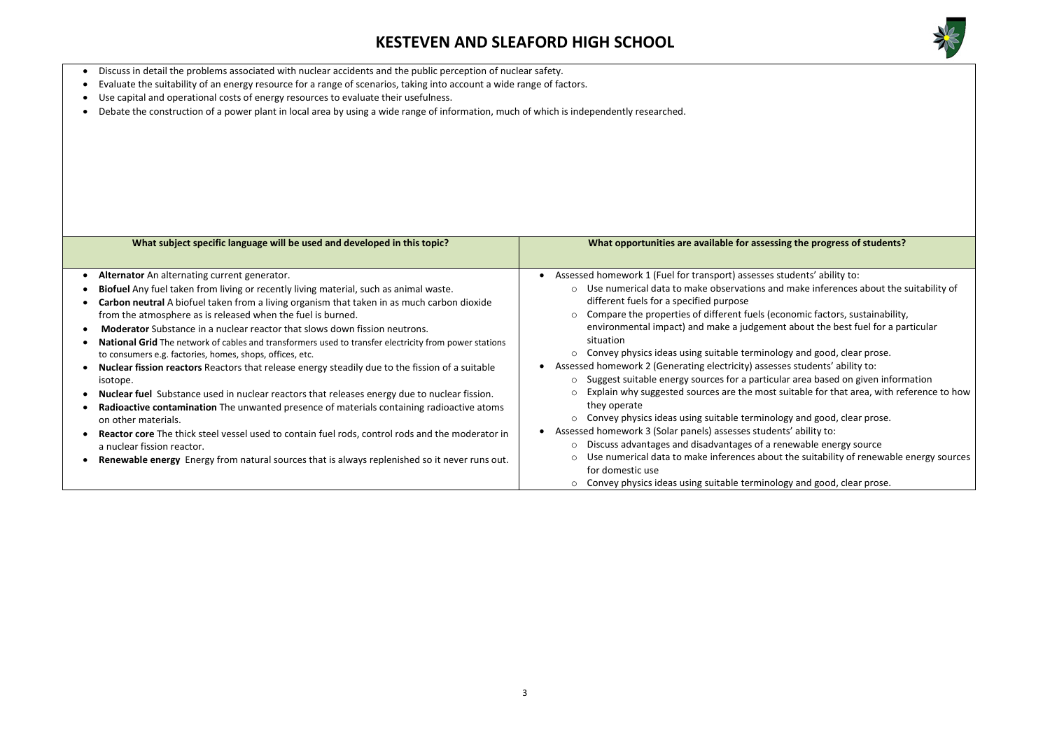

### the progress of students?

hents' ability to: nake inferences about the suitability of

omic factors, sustainability, about the best fuel for a particular

o and good, clear prose. students' ability to: area based on given information table for that area, with reference to how

o and good, clear prose. ability to: wable energy source ne suitability of renewable energy sources

o and good, clear prose.

- Discuss in detail the problems associated with nuclear accidents and the public perception of nuclear safety.
- Evaluate the suitability of an energy resource for a range of scenarios, taking into account a wide range of factors.
- Use capital and operational costs of energy resources to evaluate their usefulness.
- Debate the construction of a power plant in local area by using a wide range of information, much of which is independently researched.

| What subject specific language will be used and developed in this topic?                                                                                                                                                                                                                                                                                                                                                                                                                                                                                                                                                                                                                                                                                                                                                                                                                                                                                                                                                                                                                                                                         | What opportunities are available for assessing                                                                                                                                                                                                                                                                                                                                                                                                                                                                                                                                                                                                                                                                                                                                                                                                  |  |
|--------------------------------------------------------------------------------------------------------------------------------------------------------------------------------------------------------------------------------------------------------------------------------------------------------------------------------------------------------------------------------------------------------------------------------------------------------------------------------------------------------------------------------------------------------------------------------------------------------------------------------------------------------------------------------------------------------------------------------------------------------------------------------------------------------------------------------------------------------------------------------------------------------------------------------------------------------------------------------------------------------------------------------------------------------------------------------------------------------------------------------------------------|-------------------------------------------------------------------------------------------------------------------------------------------------------------------------------------------------------------------------------------------------------------------------------------------------------------------------------------------------------------------------------------------------------------------------------------------------------------------------------------------------------------------------------------------------------------------------------------------------------------------------------------------------------------------------------------------------------------------------------------------------------------------------------------------------------------------------------------------------|--|
| Alternator An alternating current generator.<br>Biofuel Any fuel taken from living or recently living material, such as animal waste.<br>Carbon neutral A biofuel taken from a living organism that taken in as much carbon dioxide<br>from the atmosphere as is released when the fuel is burned.<br><b>Moderator</b> Substance in a nuclear reactor that slows down fission neutrons.<br><b>National Grid</b> The network of cables and transformers used to transfer electricity from power stations<br>to consumers e.g. factories, homes, shops, offices, etc.<br><b>Nuclear fission reactors</b> Reactors that release energy steadily due to the fission of a suitable<br>isotope.<br>Nuclear fuel Substance used in nuclear reactors that releases energy due to nuclear fission.<br>Radioactive contamination The unwanted presence of materials containing radioactive atoms<br>on other materials.<br>Reactor core The thick steel vessel used to contain fuel rods, control rods and the moderator in<br>a nuclear fission reactor.<br>Renewable energy Energy from natural sources that is always replenished so it never runs out. | Assessed homework 1 (Fuel for transport) assesses stud<br>Use numerical data to make observations and m<br>$\circ$<br>different fuels for a specified purpose<br>Compare the properties of different fuels (econd<br>$\circ$<br>environmental impact) and make a judgement a<br>situation<br>Convey physics ideas using suitable terminology<br>Assessed homework 2 (Generating electricity) assesses a<br>Suggest suitable energy sources for a particular a<br>$\circ$<br>Explain why suggested sources are the most suit<br>they operate<br>Convey physics ideas using suitable terminology<br>Assessed homework 3 (Solar panels) assesses students'<br>Discuss advantages and disadvantages of a rener<br>Use numerical data to make inferences about the<br>for domestic use<br>Convey physics ideas using suitable terminology<br>$\circ$ |  |